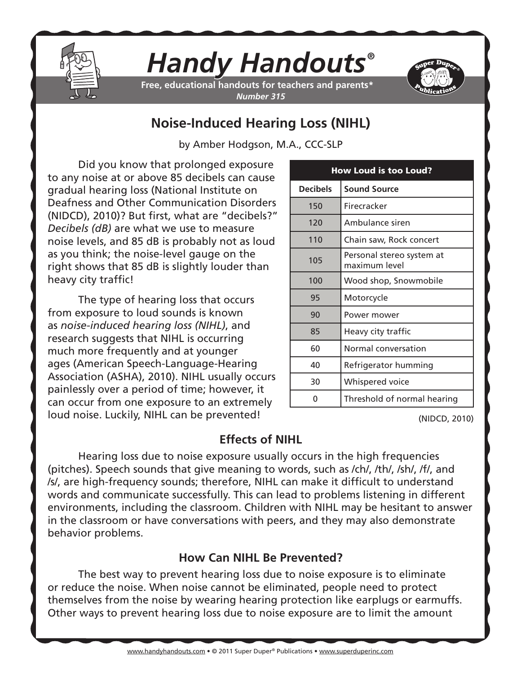

# *Handy Handouts®*

**Free, educational handouts for teachers and parents\*** *Number 315*



## **Noise-Induced Hearing Loss (NIHL)**

by Amber Hodgson, M.A., CCC-SLP

Did you know that prolonged exposure to any noise at or above 85 decibels can cause gradual hearing loss (National Institute on Deafness and Other Communication Disorders (NIDCD), 2010)? But first, what are "decibels?" *Decibels (dB)* are what we use to measure noise levels, and 85 dB is probably not as loud as you think; the noise-level gauge on the right shows that 85 dB is slightly louder than heavy city traffic!

The type of hearing loss that occurs from exposure to loud sounds is known as *noise-induced hearing loss (NIHL)*, and research suggests that NIHL is occurring much more frequently and at younger ages (American Speech-Language-Hearing Association (ASHA), 2010). NIHL usually occurs painlessly over a period of time; however, it can occur from one exposure to an extremely loud noise. Luckily, NIHL can be prevented!

| <b>How Loud is too Loud?</b> |                                            |
|------------------------------|--------------------------------------------|
| <b>Decibels</b>              | <b>Sound Source</b>                        |
| 150                          | Firecracker                                |
| 120                          | Ambulance siren                            |
| 110                          | Chain saw, Rock concert                    |
| 105                          | Personal stereo system at<br>maximum level |
| 100                          | Wood shop, Snowmobile                      |
| 95                           | Motorcycle                                 |
| 90                           | Power mower                                |
| 85                           | Heavy city traffic                         |
| 60                           | Normal conversation                        |
| 40                           | Refrigerator humming                       |
| 30                           | Whispered voice                            |
| 0                            | Threshold of normal hearing                |

(NIDCD, 2010)

#### **Effects of NIHL**

Hearing loss due to noise exposure usually occurs in the high frequencies (pitches). Speech sounds that give meaning to words, such as /ch/, /th/, /sh/, /f/, and /s/, are high-frequency sounds; therefore, NIHL can make it difficult to understand words and communicate successfully. This can lead to problems listening in different environments, including the classroom. Children with NIHL may be hesitant to answer in the classroom or have conversations with peers, and they may also demonstrate behavior problems.

### **How Can NIHL Be Prevented?**

The best way to prevent hearing loss due to noise exposure is to eliminate or reduce the noise. When noise cannot be eliminated, people need to protect themselves from the noise by wearing hearing protection like earplugs or earmuffs. Other ways to prevent hearing loss due to noise exposure are to limit the amount